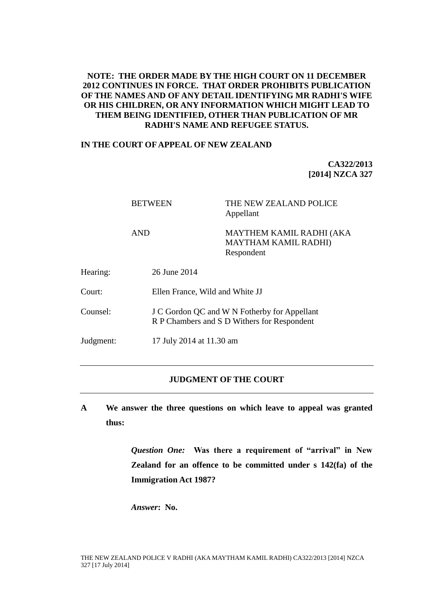# **NOTE: THE ORDER MADE BY THE HIGH COURT ON 11 DECEMBER 2012 CONTINUES IN FORCE. THAT ORDER PROHIBITS PUBLICATION OF THE NAMES AND OF ANY DETAIL IDENTIFYING MR RADHI'S WIFE OR HIS CHILDREN, OR ANY INFORMATION WHICH MIGHT LEAD TO THEM BEING IDENTIFIED, OTHER THAN PUBLICATION OF MR RADHI'S NAME AND REFUGEE STATUS.**

#### **IN THE COURT OF APPEAL OF NEW ZEALAND**

**CA322/2013 [2014] NZCA 327**

|           | <b>BETWEEN</b> | THE NEW ZEALAND POLICE<br>Appellant                                                         |  |
|-----------|----------------|---------------------------------------------------------------------------------------------|--|
|           | <b>AND</b>     | <b>MAYTHEM KAMIL RADHI (AKA</b><br><b>MAYTHAM KAMIL RADHI)</b><br>Respondent                |  |
| Hearing:  | 26 June 2014   |                                                                                             |  |
| Court:    |                | Ellen France, Wild and White JJ                                                             |  |
| Counsel:  |                | J C Gordon QC and W N Fotherby for Appellant<br>R P Chambers and S D Withers for Respondent |  |
| Judgment: |                | 17 July 2014 at 11.30 am                                                                    |  |

# **JUDGMENT OF THE COURT**

**A We answer the three questions on which leave to appeal was granted thus:**

> *Question One:* **Was there a requirement of "arrival" in New Zealand for an offence to be committed under s 142(fa) of the Immigration Act 1987?**

*Answer***: No.**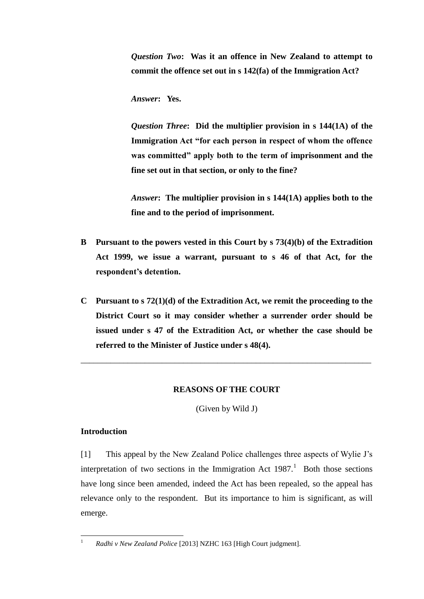*Question Two***: Was it an offence in New Zealand to attempt to commit the offence set out in s 142(fa) of the Immigration Act?**

*Answer***: Yes.**

*Question Three***: Did the multiplier provision in s 144(1A) of the Immigration Act "for each person in respect of whom the offence was committed" apply both to the term of imprisonment and the fine set out in that section, or only to the fine?**

*Answer***: The multiplier provision in s 144(1A) applies both to the fine and to the period of imprisonment.**

- **B Pursuant to the powers vested in this Court by s 73(4)(b) of the Extradition Act 1999, we issue a warrant, pursuant to s 46 of that Act, for the respondent's detention.**
- **C Pursuant to s 72(1)(d) of the Extradition Act, we remit the proceeding to the District Court so it may consider whether a surrender order should be issued under s 47 of the Extradition Act, or whether the case should be referred to the Minister of Justice under s 48(4).**

# **REASONS OF THE COURT**

\_\_\_\_\_\_\_\_\_\_\_\_\_\_\_\_\_\_\_\_\_\_\_\_\_\_\_\_\_\_\_\_\_\_\_\_\_\_\_\_\_\_\_\_\_\_\_\_\_\_\_\_\_\_\_\_\_\_\_\_\_\_\_\_\_\_\_\_

<span id="page-1-0"></span>(Given by Wild J)

# **Introduction**

 $\mathbf{1}$ 

[1] This appeal by the New Zealand Police challenges three aspects of Wylie J's interpretation of two sections in the Immigration Act  $1987$ .<sup>1</sup> Both those sections have long since been amended, indeed the Act has been repealed, so the appeal has relevance only to the respondent. But its importance to him is significant, as will emerge.

<sup>1</sup> *Radhi v New Zealand Police* [2013] NZHC 163 [High Court judgment].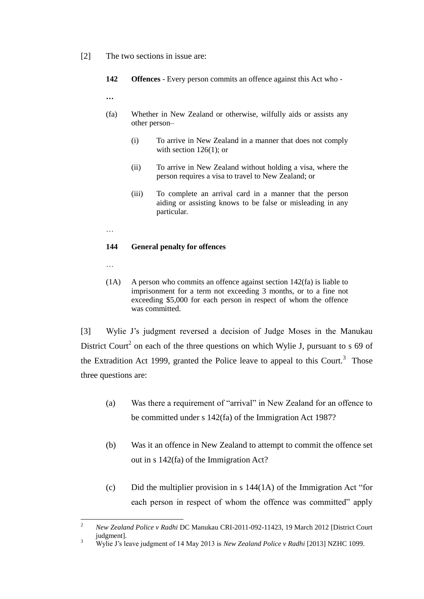- [2] The two sections in issue are:
	- **142 Offences** Every person commits an offence against this Act who -

**…**

- (fa) Whether in New Zealand or otherwise, wilfully aids or assists any other person–
	- (i) To arrive in New Zealand in a manner that does not comply with section 126(1); or
	- (ii) To arrive in New Zealand without holding a visa, where the person requires a visa to travel to New Zealand; or
	- (iii) To complete an arrival card in a manner that the person aiding or assisting knows to be false or misleading in any particular.
- …

#### **144 General penalty for offences**

…

(1A) A person who commits an offence against section 142(fa) is liable to imprisonment for a term not exceeding 3 months, or to a fine not exceeding \$5,000 for each person in respect of whom the offence was committed.

<span id="page-2-0"></span>[3] Wylie J's judgment reversed a decision of Judge Moses in the Manukau District Court<sup>2</sup> on each of the three questions on which Wylie J, pursuant to s 69 of the Extradition Act 1999, granted the Police leave to appeal to this Court.<sup>3</sup> Those three questions are:

- (a) Was there a requirement of "arrival" in New Zealand for an offence to be committed under s 142(fa) of the Immigration Act 1987?
- (b) Was it an offence in New Zealand to attempt to commit the offence set out in s 142(fa) of the Immigration Act?
- (c) Did the multiplier provision in s  $144(1\text{A})$  of the Immigration Act "for each person in respect of whom the offence was committed" apply

 $\overline{c}$ <sup>2</sup> *New Zealand Police v Radhi* DC Manukau CRI-2011-092-11423, 19 March 2012 [District Court judgment].

<sup>3</sup> Wylie J's leave judgment of 14 May 2013 is *New Zealand Police v Radhi* [2013] NZHC 1099.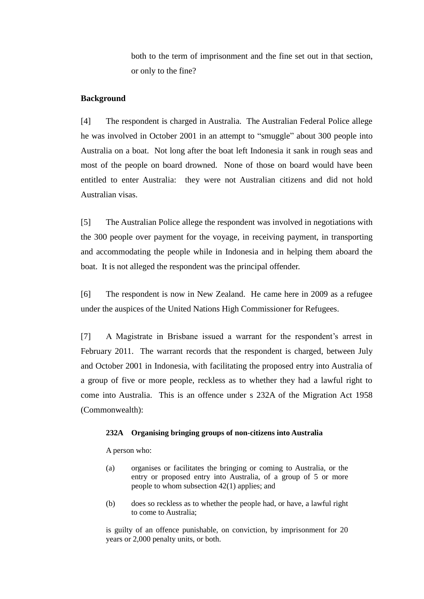both to the term of imprisonment and the fine set out in that section, or only to the fine?

#### **Background**

[4] The respondent is charged in Australia. The Australian Federal Police allege he was involved in October 2001 in an attempt to "smuggle" about 300 people into Australia on a boat. Not long after the boat left Indonesia it sank in rough seas and most of the people on board drowned. None of those on board would have been entitled to enter Australia: they were not Australian citizens and did not hold Australian visas.

[5] The Australian Police allege the respondent was involved in negotiations with the 300 people over payment for the voyage, in receiving payment, in transporting and accommodating the people while in Indonesia and in helping them aboard the boat. It is not alleged the respondent was the principal offender.

[6] The respondent is now in New Zealand. He came here in 2009 as a refugee under the auspices of the United Nations High Commissioner for Refugees.

[7] A Magistrate in Brisbane issued a warrant for the respondent's arrest in February 2011. The warrant records that the respondent is charged, between July and October 2001 in Indonesia, with facilitating the proposed entry into Australia of a group of five or more people, reckless as to whether they had a lawful right to come into Australia. This is an offence under s 232A of the Migration Act 1958 (Commonwealth):

#### **232A Organising bringing groups of non-citizens into Australia**

A person who:

- (a) organises or facilitates the bringing or coming to Australia, or the entry or proposed entry into Australia, of a group of 5 or more people to whom subsection 42(1) applies; and
- (b) does so reckless as to whether the people had, or have, a lawful right to come to Australia;

is guilty of an offence punishable, on conviction, by imprisonment for 20 years or 2,000 penalty units, or both.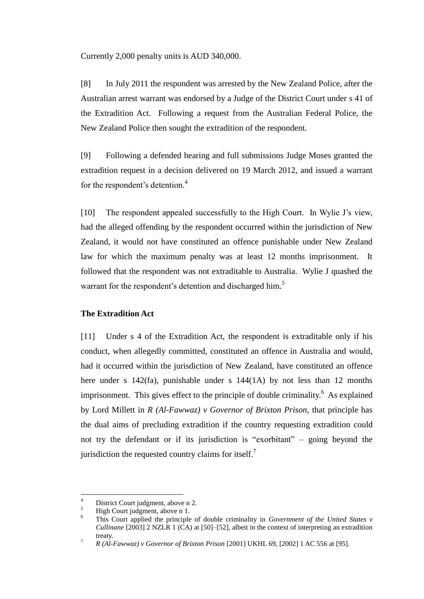Currently 2,000 penalty units is AUD 340,000.

[8] In July 2011 the respondent was arrested by the New Zealand Police, after the Australian arrest warrant was endorsed by a Judge of the District Court under s 41 of the Extradition Act. Following a request from the Australian Federal Police, the New Zealand Police then sought the extradition of the respondent.

[9] Following a defended hearing and full submissions Judge Moses granted the extradition request in a decision delivered on 19 March 2012, and issued a warrant for the respondent's detention.<sup>4</sup>

[10] The respondent appealed successfully to the High Court. In Wylie J's view, had the alleged offending by the respondent occurred within the jurisdiction of New Zealand, it would not have constituted an offence punishable under New Zealand law for which the maximum penalty was at least 12 months imprisonment. It followed that the respondent was not extraditable to Australia. Wylie J quashed the warrant for the respondent's detention and discharged him.<sup>5</sup>

# **The Extradition Act**

[11] Under s 4 of the Extradition Act, the respondent is extraditable only if his conduct, when allegedly committed, constituted an offence in Australia and would, had it occurred within the jurisdiction of New Zealand, have constituted an offence here under s 142(fa), punishable under s 144(1A) by not less than 12 months imprisonment. This gives effect to the principle of double criminality.<sup>6</sup> As explained by Lord Millett in *R (Al-Fawwaz) v Governor of Brixton Prison*, that principle has the dual aims of precluding extradition if the country requesting extradition could not try the defendant or if its jurisdiction is "exorbitant" – going beyond the jurisdiction the requested country claims for itself.<sup>7</sup>

 $\overline{4}$  $\frac{4}{5}$  District Court judgment, above n [2.](#page-2-0)

 $\frac{5}{6}$  High Court judgment, above n [1.](#page-1-0)

<sup>6</sup> This Court applied the principle of double criminality in *Government of the United States v Cullinane* [2003] 2 NZLR 1 (CA) at [50]–[52], albeit in the context of interpreting an extradition treaty.

<sup>7</sup> *R (Al-Fawwaz) v Governor of Brixton Prison* [2001] UKHL 69, [2002] 1 AC 556 at [95].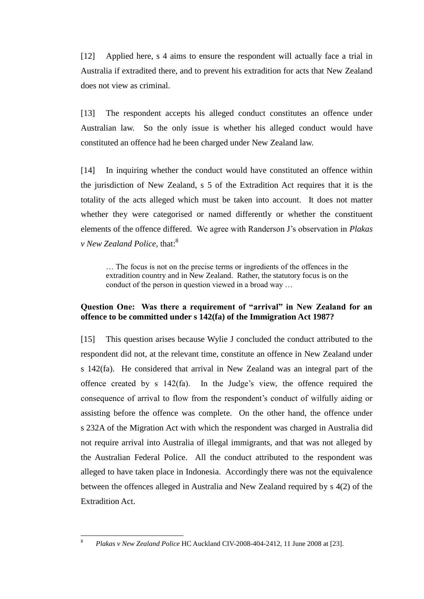[12] Applied here, s 4 aims to ensure the respondent will actually face a trial in Australia if extradited there, and to prevent his extradition for acts that New Zealand does not view as criminal.

[13] The respondent accepts his alleged conduct constitutes an offence under Australian law. So the only issue is whether his alleged conduct would have constituted an offence had he been charged under New Zealand law.

[14] In inquiring whether the conduct would have constituted an offence within the jurisdiction of New Zealand, s 5 of the Extradition Act requires that it is the totality of the acts alleged which must be taken into account. It does not matter whether they were categorised or named differently or whether the constituent elements of the offence differed. We agree with Randerson J's observation in *Plakas v New Zealand Police*, that:<sup>8</sup>

… The focus is not on the precise terms or ingredients of the offences in the extradition country and in New Zealand. Rather, the statutory focus is on the conduct of the person in question viewed in a broad way …

# **Question One: Was there a requirement of "arrival" in New Zealand for an offence to be committed under s 142(fa) of the Immigration Act 1987?**

[15] This question arises because Wylie J concluded the conduct attributed to the respondent did not, at the relevant time, constitute an offence in New Zealand under s 142(fa). He considered that arrival in New Zealand was an integral part of the offence created by s 142(fa). In the Judge's view, the offence required the consequence of arrival to flow from the respondent's conduct of wilfully aiding or assisting before the offence was complete. On the other hand, the offence under s 232A of the Migration Act with which the respondent was charged in Australia did not require arrival into Australia of illegal immigrants, and that was not alleged by the Australian Federal Police. All the conduct attributed to the respondent was alleged to have taken place in Indonesia. Accordingly there was not the equivalence between the offences alleged in Australia and New Zealand required by s 4(2) of the Extradition Act.

 $\overline{8}$ <sup>8</sup> *Plakas v New Zealand Police* HC Auckland CIV-2008-404-2412, 11 June 2008 at [23].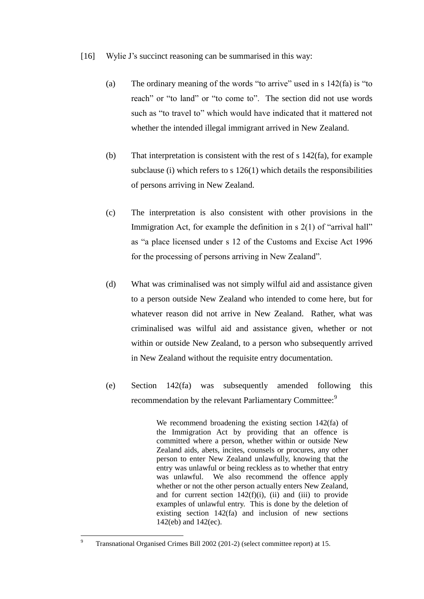- [16] Wylie J's succinct reasoning can be summarised in this way:
	- (a) The ordinary meaning of the words "to arrive" used in s 142(fa) is "to reach" or "to land" or "to come to". The section did not use words such as "to travel to" which would have indicated that it mattered not whether the intended illegal immigrant arrived in New Zealand.
	- (b) That interpretation is consistent with the rest of s 142(fa), for example subclause (i) which refers to s 126(1) which details the responsibilities of persons arriving in New Zealand.
	- (c) The interpretation is also consistent with other provisions in the Immigration Act, for example the definition in s 2(1) of "arrival hall" as "a place licensed under s 12 of the Customs and Excise Act 1996 for the processing of persons arriving in New Zealand".
	- (d) What was criminalised was not simply wilful aid and assistance given to a person outside New Zealand who intended to come here, but for whatever reason did not arrive in New Zealand. Rather, what was criminalised was wilful aid and assistance given, whether or not within or outside New Zealand, to a person who subsequently arrived in New Zealand without the requisite entry documentation.
	- (e) Section 142(fa) was subsequently amended following this recommendation by the relevant Parliamentary Committee:<sup>9</sup>

We recommend broadening the existing section 142(fa) of the Immigration Act by providing that an offence is committed where a person, whether within or outside New Zealand aids, abets, incites, counsels or procures, any other person to enter New Zealand unlawfully, knowing that the entry was unlawful or being reckless as to whether that entry was unlawful. We also recommend the offence apply whether or not the other person actually enters New Zealand, and for current section  $142(f)(i)$ , (ii) and (iii) to provide examples of unlawful entry. This is done by the deletion of existing section 142(fa) and inclusion of new sections 142(eb) and 142(ec).

 $\overline{9}$ <sup>9</sup> Transnational Organised Crimes Bill 2002 (201-2) (select committee report) at 15.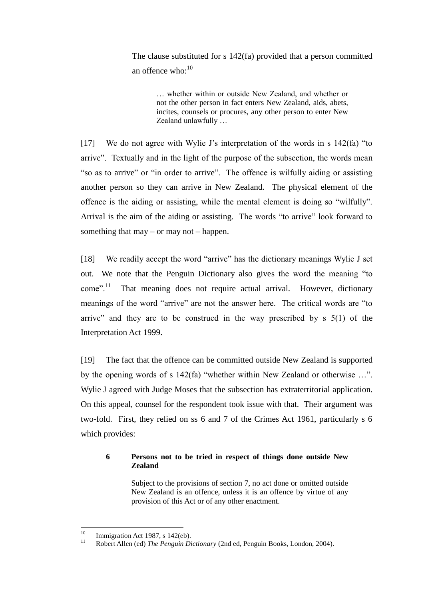The clause substituted for s 142(fa) provided that a person committed an offence who: $10$ 

… whether within or outside New Zealand, and whether or not the other person in fact enters New Zealand, aids, abets, incites, counsels or procures, any other person to enter New Zealand unlawfully …

[17] We do not agree with Wylie J's interpretation of the words in s 142(fa) "to arrive". Textually and in the light of the purpose of the subsection, the words mean "so as to arrive" or "in order to arrive". The offence is wilfully aiding or assisting another person so they can arrive in New Zealand. The physical element of the offence is the aiding or assisting, while the mental element is doing so "wilfully". Arrival is the aim of the aiding or assisting. The words "to arrive" look forward to something that may – or may not – happen.

[18] We readily accept the word "arrive" has the dictionary meanings Wylie J set out. We note that the Penguin Dictionary also gives the word the meaning "to come".<sup>11</sup> That meaning does not require actual arrival. However, dictionary meanings of the word "arrive" are not the answer here. The critical words are "to arrive" and they are to be construed in the way prescribed by  $s \leq 5(1)$  of the Interpretation Act 1999.

[19] The fact that the offence can be committed outside New Zealand is supported by the opening words of s 142(fa) "whether within New Zealand or otherwise …". Wylie J agreed with Judge Moses that the subsection has extraterritorial application. On this appeal, counsel for the respondent took issue with that. Their argument was two-fold. First, they relied on ss 6 and 7 of the Crimes Act 1961, particularly s 6 which provides:

# **6 Persons not to be tried in respect of things done outside New Zealand**

Subject to the provisions of section 7, no act done or omitted outside New Zealand is an offence, unless it is an offence by virtue of any provision of this Act or of any other enactment.

 $10$ <sup>10</sup> Immigration Act 1987, s 142(eb).

<sup>11</sup> Robert Allen (ed) *The Penguin Dictionary* (2nd ed, Penguin Books, London, 2004).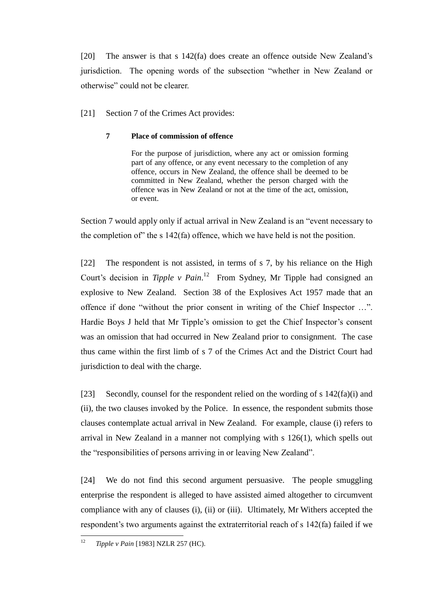[20] The answer is that s 142(fa) does create an offence outside New Zealand's jurisdiction. The opening words of the subsection "whether in New Zealand or otherwise" could not be clearer.

[21] Section 7 of the Crimes Act provides:

# **7 Place of commission of offence**

For the purpose of jurisdiction, where any act or omission forming part of any offence, or any event necessary to the completion of any offence, occurs in New Zealand, the offence shall be deemed to be committed in New Zealand, whether the person charged with the offence was in New Zealand or not at the time of the act, omission, or event.

Section 7 would apply only if actual arrival in New Zealand is an "event necessary to the completion of" the s 142(fa) offence, which we have held is not the position.

[22] The respondent is not assisted, in terms of s 7, by his reliance on the High Court's decision in *Tipple v Pain*. 12 From Sydney, Mr Tipple had consigned an explosive to New Zealand. Section 38 of the Explosives Act 1957 made that an offence if done "without the prior consent in writing of the Chief Inspector …". Hardie Boys J held that Mr Tipple's omission to get the Chief Inspector's consent was an omission that had occurred in New Zealand prior to consignment. The case thus came within the first limb of s 7 of the Crimes Act and the District Court had jurisdiction to deal with the charge.

[23] Secondly, counsel for the respondent relied on the wording of s 142(fa)(i) and (ii), the two clauses invoked by the Police. In essence, the respondent submits those clauses contemplate actual arrival in New Zealand. For example, clause (i) refers to arrival in New Zealand in a manner not complying with s 126(1), which spells out the "responsibilities of persons arriving in or leaving New Zealand".

[24] We do not find this second argument persuasive. The people smuggling enterprise the respondent is alleged to have assisted aimed altogether to circumvent compliance with any of clauses (i), (ii) or (iii). Ultimately, Mr Withers accepted the respondent's two arguments against the extraterritorial reach of s 142(fa) failed if we

 $12$ <sup>12</sup> *Tipple v Pain* [1983] NZLR 257 (HC).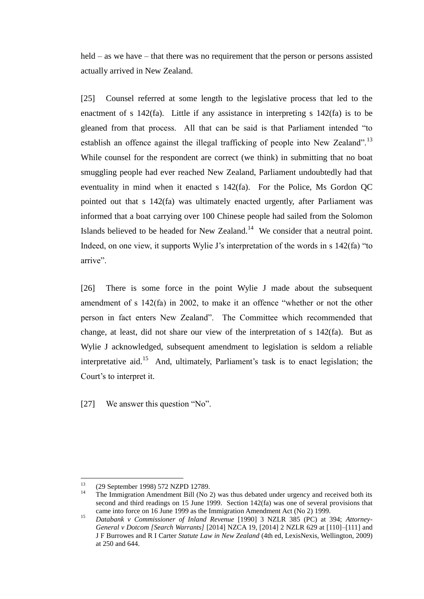held – as we have – that there was no requirement that the person or persons assisted actually arrived in New Zealand.

[25] Counsel referred at some length to the legislative process that led to the enactment of s 142(fa). Little if any assistance in interpreting s 142(fa) is to be gleaned from that process. All that can be said is that Parliament intended "to establish an offence against the illegal trafficking of people into New Zealand".<sup>13</sup> While counsel for the respondent are correct (we think) in submitting that no boat smuggling people had ever reached New Zealand, Parliament undoubtedly had that eventuality in mind when it enacted s 142(fa). For the Police, Ms Gordon QC pointed out that s 142(fa) was ultimately enacted urgently, after Parliament was informed that a boat carrying over 100 Chinese people had sailed from the Solomon Islands believed to be headed for New Zealand. $14$  We consider that a neutral point. Indeed, on one view, it supports Wylie J's interpretation of the words in s 142(fa) "to arrive".

[26] There is some force in the point Wylie J made about the subsequent amendment of s 142(fa) in 2002, to make it an offence "whether or not the other person in fact enters New Zealand". The Committee which recommended that change, at least, did not share our view of the interpretation of s 142(fa). But as Wylie J acknowledged, subsequent amendment to legislation is seldom a reliable interpretative aid.<sup>15</sup> And, ultimately, Parliament's task is to enact legislation; the Court's to interpret it.

[27] We answer this question "No".

 $13$ <sup>13</sup> (29 September 1998) 572 NZPD 12789.

<sup>14</sup> The Immigration Amendment Bill (No 2) was thus debated under urgency and received both its second and third readings on 15 June 1999. Section 142(fa) was one of several provisions that came into force on 16 June 1999 as the Immigration Amendment Act (No 2) 1999.

<sup>15</sup> *Databank v Commissioner of Inland Revenue* [1990] 3 NZLR 385 (PC) at 394; *Attorney-General v Dotcom [Search Warrants]* [2014] NZCA 19, [2014] 2 NZLR 629 at [110]–[111] and J F Burrowes and R I Carter *Statute Law in New Zealand* (4th ed, LexisNexis, Wellington, 2009) at 250 and 644.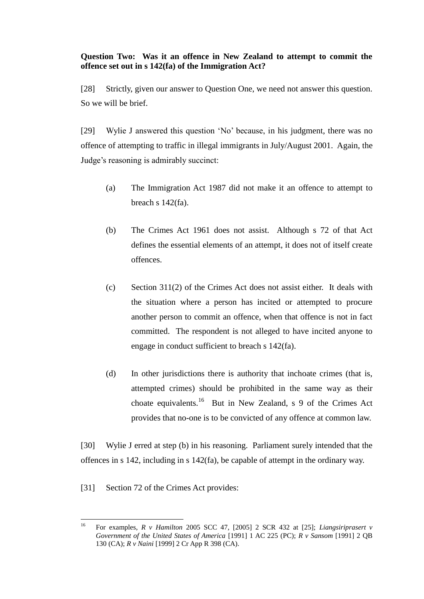# **Question Two: Was it an offence in New Zealand to attempt to commit the offence set out in s 142(fa) of the Immigration Act?**

[28] Strictly, given our answer to Question One, we need not answer this question. So we will be brief.

[29] Wylie J answered this question 'No' because, in his judgment, there was no offence of attempting to traffic in illegal immigrants in July/August 2001. Again, the Judge's reasoning is admirably succinct:

- (a) The Immigration Act 1987 did not make it an offence to attempt to breach s 142(fa).
- (b) The Crimes Act 1961 does not assist. Although s 72 of that Act defines the essential elements of an attempt, it does not of itself create offences.
- (c) Section 311(2) of the Crimes Act does not assist either. It deals with the situation where a person has incited or attempted to procure another person to commit an offence, when that offence is not in fact committed. The respondent is not alleged to have incited anyone to engage in conduct sufficient to breach s 142(fa).
- (d) In other jurisdictions there is authority that inchoate crimes (that is, attempted crimes) should be prohibited in the same way as their choate equivalents.<sup>16</sup> But in New Zealand, s 9 of the Crimes Act provides that no-one is to be convicted of any offence at common law.

[30] Wylie J erred at step (b) in his reasoning. Parliament surely intended that the offences in s 142, including in s 142(fa), be capable of attempt in the ordinary way.

[31] Section 72 of the Crimes Act provides:

 $16$ <sup>16</sup> For examples, *R v Hamilton* 2005 SCC 47, [2005] 2 SCR 432 at [25]; *Liangsiriprasert v Government of the United States of America* [1991] 1 AC 225 (PC); *R v Sansom* [1991] 2 QB 130 (CA); *R v Naini* [1999] 2 Cr App R 398 (CA).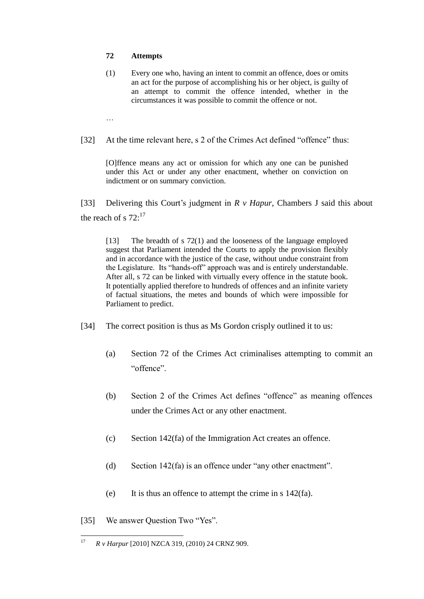#### **72 Attempts**

- (1) Every one who, having an intent to commit an offence, does or omits an act for the purpose of accomplishing his or her object, is guilty of an attempt to commit the offence intended, whether in the circumstances it was possible to commit the offence or not.
- …
- [32] At the time relevant here, s 2 of the Crimes Act defined "offence" thus:

[O]ffence means any act or omission for which any one can be punished under this Act or under any other enactment, whether on conviction on indictment or on summary conviction.

[33] Delivering this Court's judgment in *R v Hapur*, Chambers J said this about the reach of s  $72:^{17}$ 

[13] The breadth of s 72(1) and the looseness of the language employed suggest that Parliament intended the Courts to apply the provision flexibly and in accordance with the justice of the case, without undue constraint from the Legislature. Its "hands-off" approach was and is entirely understandable. After all, s 72 can be linked with virtually every offence in the statute book. It potentially applied therefore to hundreds of offences and an infinite variety of factual situations, the metes and bounds of which were impossible for Parliament to predict.

- [34] The correct position is thus as Ms Gordon crisply outlined it to us:
	- (a) Section 72 of the Crimes Act criminalises attempting to commit an "offence".
	- (b) Section 2 of the Crimes Act defines "offence" as meaning offences under the Crimes Act or any other enactment.
	- (c) Section 142(fa) of the Immigration Act creates an offence.
	- (d) Section 142(fa) is an offence under "any other enactment".
	- (e) It is thus an offence to attempt the crime in s 142(fa).
- [35] We answer Ouestion Two "Yes".

 $17$ <sup>17</sup> *R v Harpur* [2010] NZCA 319, (2010) 24 CRNZ 909.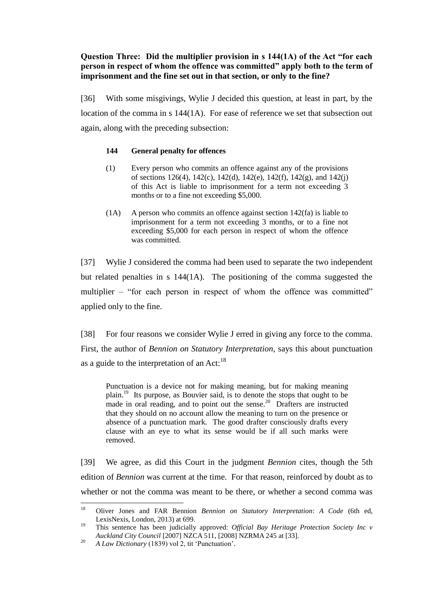# **Question Three: Did the multiplier provision in s 144(1A) of the Act "for each person in respect of whom the offence was committed" apply both to the term of imprisonment and the fine set out in that section, or only to the fine?**

[36] With some misgivings, Wylie J decided this question, at least in part, by the location of the comma in s 144(1A). For ease of reference we set that subsection out again, along with the preceding subsection:

# **144 General penalty for offences**

- (1) Every person who commits an offence against any of the provisions of sections 126(4), 142(c), 142(d), 142(e), 142(f), 142(g), and 142(j) of this Act is liable to imprisonment for a term not exceeding 3 months or to a fine not exceeding \$5,000.
- (1A) A person who commits an offence against section 142(fa) is liable to imprisonment for a term not exceeding 3 months, or to a fine not exceeding \$5,000 for each person in respect of whom the offence was committed.

[37] Wylie J considered the comma had been used to separate the two independent but related penalties in s 144(1A). The positioning of the comma suggested the multiplier – "for each person in respect of whom the offence was committed" applied only to the fine.

[38] For four reasons we consider Wylie J erred in giving any force to the comma. First, the author of *Bennion on Statutory Interpretation,* says this about punctuation as a guide to the interpretation of an Act: $^{18}$ 

Punctuation is a device not for making meaning, but for making meaning plain.<sup>19</sup> Its purpose, as Bouvier said, is to denote the stops that ought to be made in oral reading, and to point out the sense.<sup>20</sup> Drafters are instructed that they should on no account allow the meaning to turn on the presence or absence of a punctuation mark. The good drafter consciously drafts every clause with an eye to what its sense would be if all such marks were removed.

[39] We agree, as did this Court in the judgment *Bennion* cites, though the 5th edition of *Bennion* was current at the time. For that reason, reinforced by doubt as to whether or not the comma was meant to be there, or whether a second comma was

<sup>18</sup> <sup>18</sup> Oliver Jones and FAR Bennion *Bennion on Statutory Interpretation*: *A Code* (6th ed, LexisNexis, London, 2013) at 699.

<sup>19</sup> This sentence has been judicially approved: *Official Bay Heritage Protection Society Inc v Auckland City Council* [2007] NZCA 511, [2008] NZRMA 245 at [33].

<sup>20</sup> *A Law Dictionary* (1839) vol 2, tit 'Punctuation'.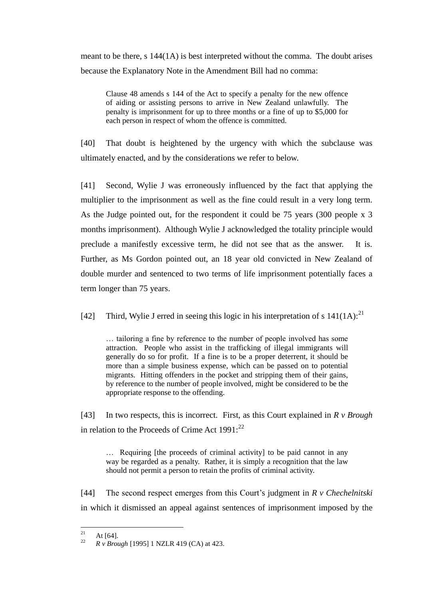meant to be there, s 144(1A) is best interpreted without the comma. The doubt arises because the Explanatory Note in the Amendment Bill had no comma:

Clause 48 amends s 144 of the Act to specify a penalty for the new offence of aiding or assisting persons to arrive in New Zealand unlawfully. The penalty is imprisonment for up to three months or a fine of up to \$5,000 for each person in respect of whom the offence is committed.

[40] That doubt is heightened by the urgency with which the subclause was ultimately enacted, and by the considerations we refer to below.

[41] Second, Wylie J was erroneously influenced by the fact that applying the multiplier to the imprisonment as well as the fine could result in a very long term. As the Judge pointed out, for the respondent it could be 75 years (300 people x 3 months imprisonment). Although Wylie J acknowledged the totality principle would preclude a manifestly excessive term, he did not see that as the answer. It is. Further, as Ms Gordon pointed out, an 18 year old convicted in New Zealand of double murder and sentenced to two terms of life imprisonment potentially faces a term longer than 75 years.

[42] Third, Wylie J erred in seeing this logic in his interpretation of s  $141(1A)$ :<sup>21</sup>

… tailoring a fine by reference to the number of people involved has some attraction. People who assist in the trafficking of illegal immigrants will generally do so for profit. If a fine is to be a proper deterrent, it should be more than a simple business expense, which can be passed on to potential migrants. Hitting offenders in the pocket and stripping them of their gains, by reference to the number of people involved, might be considered to be the appropriate response to the offending.

[43] In two respects, this is incorrect. First, as this Court explained in *R v Brough* in relation to the Proceeds of Crime Act  $1991$ :<sup>22</sup>

… Requiring [the proceeds of criminal activity] to be paid cannot in any way be regarded as a penalty. Rather, it is simply a recognition that the law should not permit a person to retain the profits of criminal activity.

[44] The second respect emerges from this Court's judgment in *R v Chechelnitski* in which it dismissed an appeal against sentences of imprisonment imposed by the

 $21$  $\frac{21}{22}$  At [64].

<sup>22</sup> *R v Brough* [1995] 1 NZLR 419 (CA) at 423.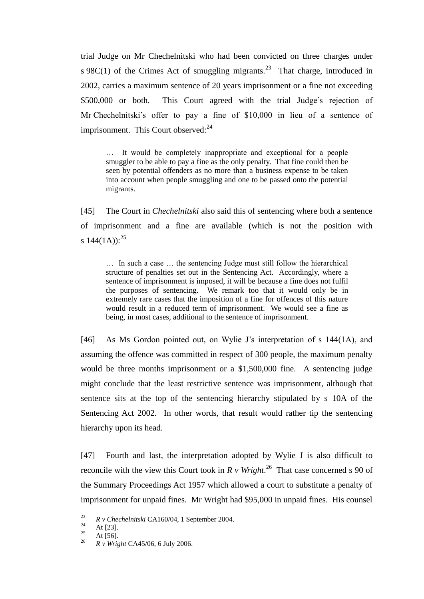trial Judge on Mr Chechelnitski who had been convicted on three charges under s 98C(1) of the Crimes Act of smuggling migrants.<sup>23</sup> That charge, introduced in 2002, carries a maximum sentence of 20 years imprisonment or a fine not exceeding \$500,000 or both. This Court agreed with the trial Judge's rejection of Mr Chechelnitski's offer to pay a fine of \$10,000 in lieu of a sentence of imprisonment. This Court observed: $24$ 

… It would be completely inappropriate and exceptional for a people smuggler to be able to pay a fine as the only penalty. That fine could then be seen by potential offenders as no more than a business expense to be taken into account when people smuggling and one to be passed onto the potential migrants.

[45] The Court in *Chechelnitski* also said this of sentencing where both a sentence of imprisonment and a fine are available (which is not the position with s  $144(1A)$ :<sup>25</sup>

… In such a case … the sentencing Judge must still follow the hierarchical structure of penalties set out in the Sentencing Act. Accordingly, where a sentence of imprisonment is imposed, it will be because a fine does not fulfil the purposes of sentencing. We remark too that it would only be in extremely rare cases that the imposition of a fine for offences of this nature would result in a reduced term of imprisonment. We would see a fine as being, in most cases, additional to the sentence of imprisonment.

[46] As Ms Gordon pointed out, on Wylie J's interpretation of s 144(1A), and assuming the offence was committed in respect of 300 people, the maximum penalty would be three months imprisonment or a \$1,500,000 fine. A sentencing judge might conclude that the least restrictive sentence was imprisonment, although that sentence sits at the top of the sentencing hierarchy stipulated by s 10A of the Sentencing Act 2002. In other words, that result would rather tip the sentencing hierarchy upon its head.

[47] Fourth and last, the interpretation adopted by Wylie J is also difficult to reconcile with the view this Court took in  $R \nu$  Wright.<sup>26</sup> That case concerned s 90 of the Summary Proceedings Act 1957 which allowed a court to substitute a penalty of imprisonment for unpaid fines. Mr Wright had \$95,000 in unpaid fines. His counsel

<sup>23</sup> <sup>23</sup> *R v Chechelnitski* CA160/04, 1 September 2004.

 $24$  At [23].

 $\frac{25}{26}$  At [56].

<sup>26</sup> *R v Wright* CA45/06, 6 July 2006.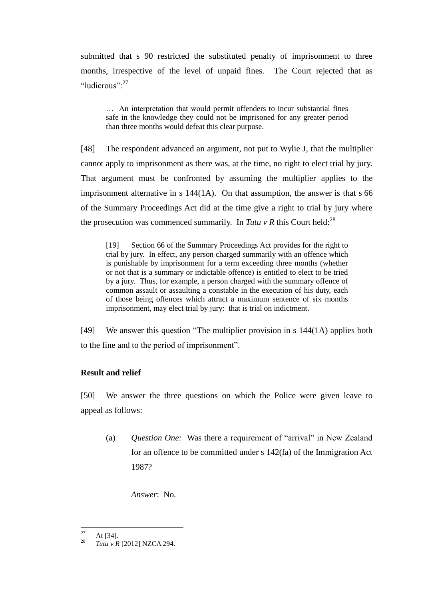submitted that s 90 restricted the substituted penalty of imprisonment to three months, irrespective of the level of unpaid fines. The Court rejected that as "ludicrous":<sup>27</sup>

… An interpretation that would permit offenders to incur substantial fines safe in the knowledge they could not be imprisoned for any greater period than three months would defeat this clear purpose.

[48] The respondent advanced an argument, not put to Wylie J, that the multiplier cannot apply to imprisonment as there was, at the time, no right to elect trial by jury. That argument must be confronted by assuming the multiplier applies to the imprisonment alternative in s 144(1A). On that assumption, the answer is that s 66 of the Summary Proceedings Act did at the time give a right to trial by jury where the prosecution was commenced summarily. In *Tutu v R* this Court held:<sup>28</sup>

[19] Section 66 of the Summary Proceedings Act provides for the right to trial by jury. In effect, any person charged summarily with an offence which is punishable by imprisonment for a term exceeding three months (whether or not that is a summary or indictable offence) is entitled to elect to be tried by a jury. Thus, for example, a person charged with the summary offence of common assault or assaulting a constable in the execution of his duty, each of those being offences which attract a maximum sentence of six months imprisonment, may elect trial by jury: that is trial on indictment.

[49] We answer this question "The multiplier provision in s 144(1A) applies both to the fine and to the period of imprisonment".

# **Result and relief**

[50] We answer the three questions on which the Police were given leave to appeal as follows:

(a) *Question One:* Was there a requirement of "arrival" in New Zealand for an offence to be committed under s 142(fa) of the Immigration Act 1987?

*Answer*: No.

 $27$  $\frac{27}{28}$  At [34].

<sup>28</sup> *Tutu v R* [2012] NZCA 294.